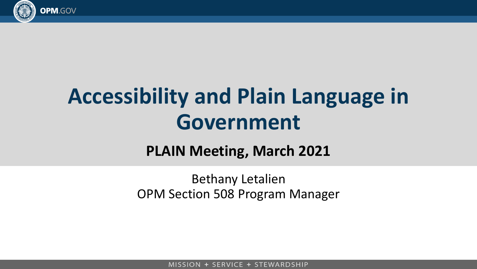

# **Accessibility and Plain Language in Government**

#### **PLAIN Meeting, March 2021**

Bethany Letalien OPM Section 508 Program Manager

MISSION + SERVICE + STEWARDSHIP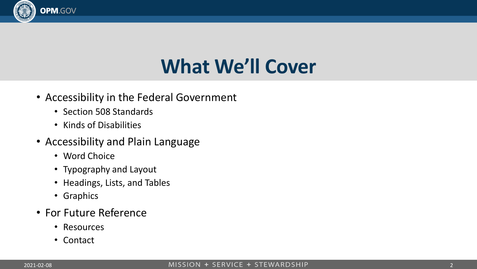

#### **What We'll Cover**

- Accessibility in the Federal Government
	- Section 508 Standards
	- Kinds of Disabilities
- Accessibility and Plain Language
	- Word Choice
	- Typography and Layout
	- Headings, Lists, and Tables
	- Graphics
- For Future Reference
	- Resources
	- Contact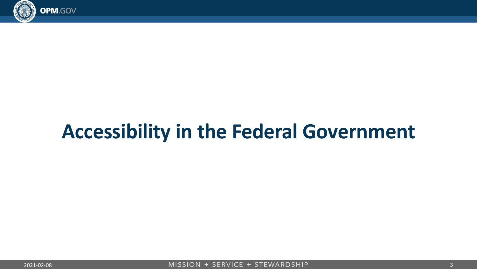

# **Accessibility in the Federal Government**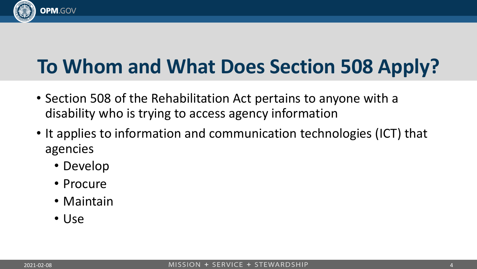

## **To Whom and What Does Section 508 Apply?**

- Section 508 of the Rehabilitation Act pertains to anyone with a disability who is trying to access agency information
- It applies to information and communication technologies (ICT) that agencies
	- Develop
	- Procure
	- Maintain
	- Use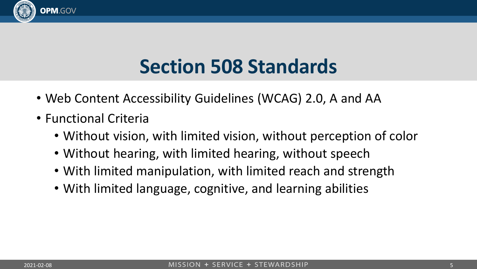

#### **Section 508 Standards**

- Web Content Accessibility Guidelines (WCAG) 2.0, A and AA
- Functional Criteria
	- Without vision, with limited vision, without perception of color
	- Without hearing, with limited hearing, without speech
	- With limited manipulation, with limited reach and strength
	- With limited language, cognitive, and learning abilities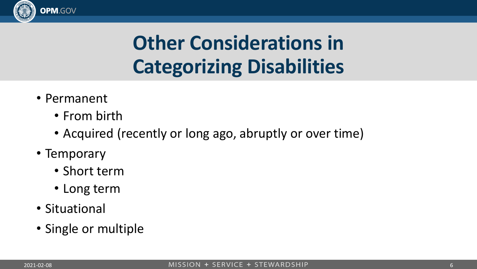

• Permanent

**OPM.GOV** 

- From birth
- Acquired (recently or long ago, abruptly or over time)
- Temporary
	- Short term
	- Long term
- Situational
- Single or multiple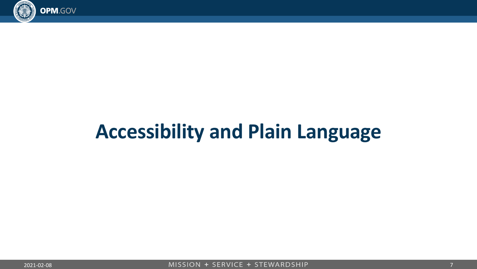

# **Accessibility and Plain Language**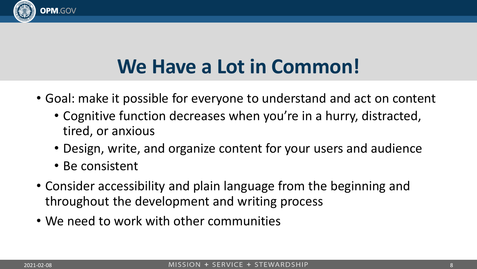

#### **We Have a Lot in Common!**

- Goal: make it possible for everyone to understand and act on content
	- Cognitive function decreases when you're in a hurry, distracted, tired, or anxious
	- Design, write, and organize content for your users and audience
	- Be consistent
- Consider accessibility and plain language from the beginning and throughout the development and writing process
- We need to work with other communities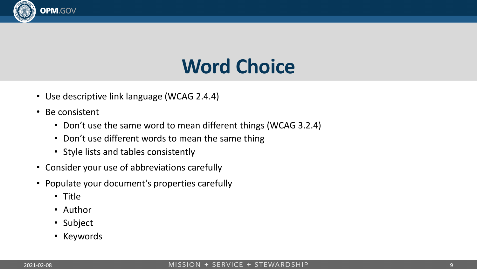

#### **Word Choice**

- Use descriptive link language (WCAG 2.4.4)
- Be consistent
	- Don't use the same word to mean different things (WCAG 3.2.4)
	- Don't use different words to mean the same thing
	- Style lists and tables consistently
- Consider your use of abbreviations carefully
- Populate your document's properties carefully
	- Title
	- Author
	- Subject
	- Keywords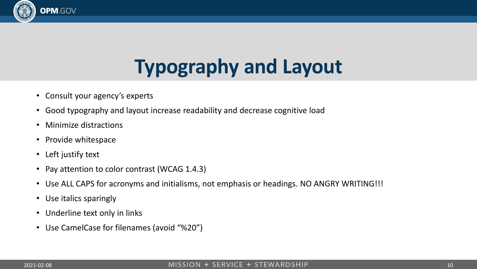

## **Typography and Layout**

- Consult your agency's experts
- Good typography and layout increase readability and decrease cognitive load
- Minimize distractions
- Provide whitespace
- Left justify text
- Pay attention to color contrast (WCAG 1.4.3)
- Use ALL CAPS for acronyms and initialisms, not emphasis or headings. NO ANGRY WRITING!!!
- Use italics sparingly
- Underline text only in links
- Use CamelCase for filenames (avoid "%20")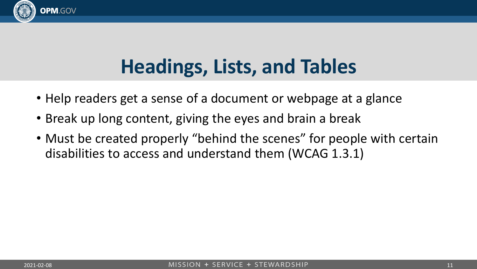

#### **Headings, Lists, and Tables**

- Help readers get a sense of a document or webpage at a glance
- Break up long content, giving the eyes and brain a break
- Must be created properly "behind the scenes" for people with certain disabilities to access and understand them (WCAG 1.3.1)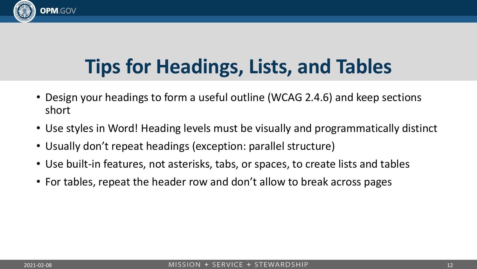

### **Tips for Headings, Lists, and Tables**

- Design your headings to form a useful outline (WCAG 2.4.6) and keep sections short
- Use styles in Word! Heading levels must be visually and programmatically distinct
- Usually don't repeat headings (exception: parallel structure)
- Use built-in features, not asterisks, tabs, or spaces, to create lists and tables
- For tables, repeat the header row and don't allow to break across pages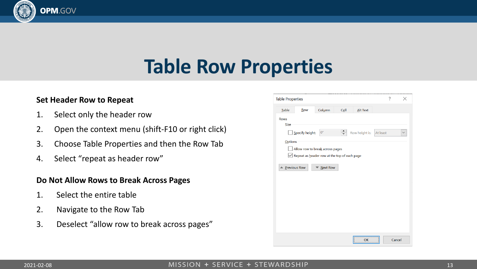#### **Table Row Properties**

#### **Set Header Row to Repeat**

**OPM.GOV** 

- 1. Select only the header row
- 2. Open the context menu (shift-F10 or right click)
- 3. Choose Table Properties and then the Row Tab
- 4. Select "repeat as header row"

#### **Do Not Allow Rows to Break Across Pages**

- 1. Select the entire table
- 2. Navigate to the Row Tab
- 3. Deselect "allow row to break across pages"

| <b>Table Properties</b>                             |                 |                 |                 |                 |          | ?      | $\times$     |
|-----------------------------------------------------|-----------------|-----------------|-----------------|-----------------|----------|--------|--------------|
| <b>Table</b>                                        | <b>Row</b>      | Column          | C <sub>el</sub> | <b>Alt Text</b> |          |        |              |
| <b>Rows</b>                                         |                 |                 |                 |                 |          |        |              |
| Size                                                |                 |                 |                 |                 |          |        |              |
|                                                     | Specify height: | 0"              | $\div$          | Row height is:  | At least |        | $\checkmark$ |
| Options                                             |                 |                 |                 |                 |          |        |              |
| Allow row to break across pages                     |                 |                 |                 |                 |          |        |              |
| $\vee$ Repeat as header row at the top of each page |                 |                 |                 |                 |          |        |              |
|                                                     |                 | <b>Next Row</b> |                 |                 |          |        |              |
| <b>▲ Previous Row</b>                               |                 |                 |                 |                 |          |        |              |
|                                                     |                 |                 |                 |                 |          |        |              |
|                                                     |                 |                 |                 |                 |          |        |              |
|                                                     |                 |                 |                 |                 |          |        |              |
|                                                     |                 |                 |                 |                 |          |        |              |
|                                                     |                 |                 |                 |                 |          |        |              |
|                                                     |                 |                 |                 |                 |          |        |              |
|                                                     |                 |                 |                 |                 |          |        |              |
|                                                     |                 |                 |                 |                 |          |        |              |
|                                                     |                 |                 |                 | OK              |          | Cancel |              |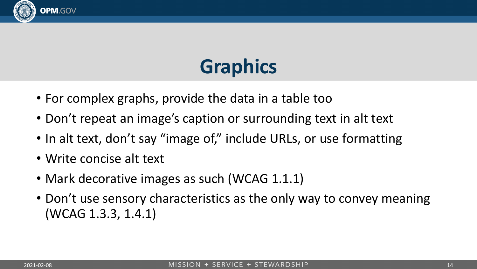

### **Graphics**

- For complex graphs, provide the data in a table too
- Don't repeat an image's caption or surrounding text in alt text
- In alt text, don't say "image of," include URLs, or use formatting
- Write concise alt text
- Mark decorative images as such (WCAG 1.1.1)
- Don't use sensory characteristics as the only way to convey meaning (WCAG 1.3.3, 1.4.1)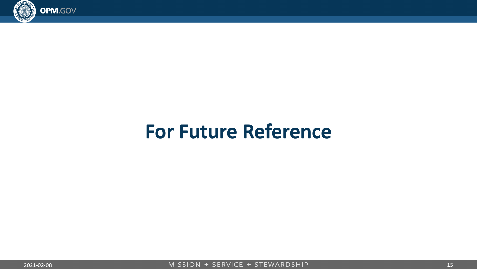

#### **For Future Reference**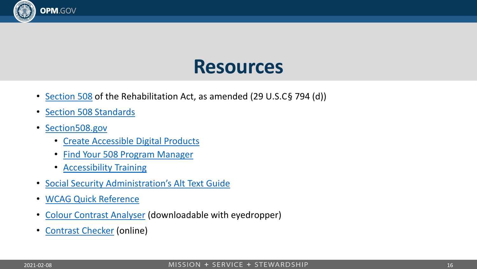

#### **Resources**

- [Section 508](https://www.govinfo.gov/content/pkg/USCODE-2011-title29/html/USCODE-2011-title29-chap16-subchapV-sec794d.htm) of the Rehabilitation Act, as amended (29 U.S.C§ 794 (d))
- **[Section 508 Standards](https://www.access-board.gov/ict/)**
- [Section508.gov](https://section508.gov/)
	- [Create Accessible Digital Products](https://section508.gov/create)
	- [Find Your 508 Program Manager](https://section508.gov/tools/coordinator-listing)
	- [Accessibility Training](https://section508.gov/training)
- [Social Security Administration's Alt Text Guide](https://www.ssa.gov/accessibility/files/SSA_Alternative_Text_Guide.pdf)
- [WCAG Quick Reference](https://www.w3.org/WAI/WCAG21/quickref/?currentsidebar=%23col_overview&versions=2.0&levels=aaa)
- Colour [Contrast Analyser](https://developer.paciellogroup.com/resources/contrastanalyser/) (downloadable with eyedropper)
- [Contrast Checker](https://webaim.org/resources/contrastchecker/) (online)